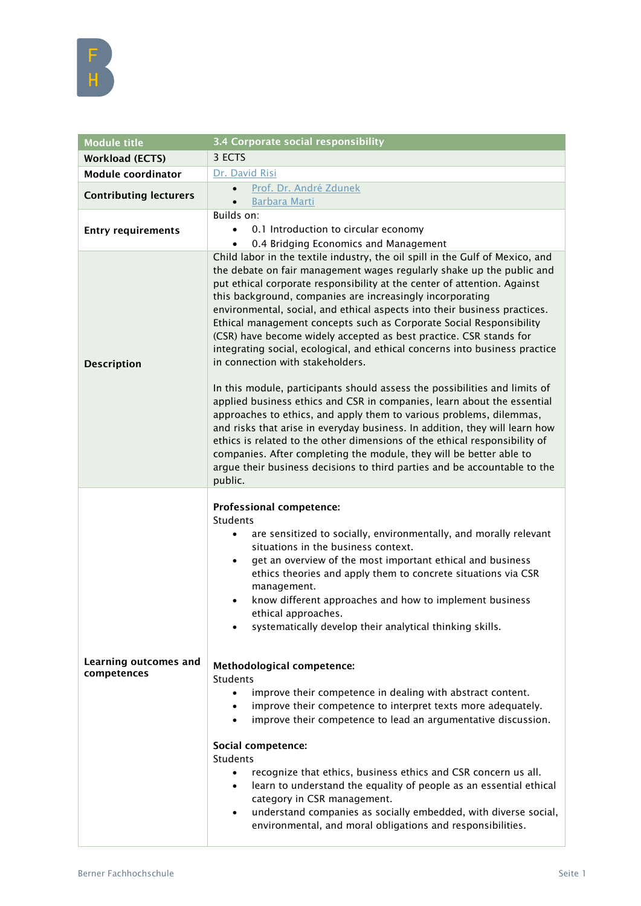

| <b>Module title</b>                  | <b>3.4 Corporate social responsibility</b>                                                                                                                                                                                                                                                                                                                                                                                                                                                                                                                                                                                                                           |
|--------------------------------------|----------------------------------------------------------------------------------------------------------------------------------------------------------------------------------------------------------------------------------------------------------------------------------------------------------------------------------------------------------------------------------------------------------------------------------------------------------------------------------------------------------------------------------------------------------------------------------------------------------------------------------------------------------------------|
| <b>Workload (ECTS)</b>               | 3 ECTS                                                                                                                                                                                                                                                                                                                                                                                                                                                                                                                                                                                                                                                               |
| <b>Module coordinator</b>            | Dr. David Risi                                                                                                                                                                                                                                                                                                                                                                                                                                                                                                                                                                                                                                                       |
| <b>Contributing lecturers</b>        | Prof. Dr. André Zdunek<br>$\bullet$<br><b>Barbara Marti</b><br>$\bullet$                                                                                                                                                                                                                                                                                                                                                                                                                                                                                                                                                                                             |
| <b>Entry requirements</b>            | Builds on:<br>0.1 Introduction to circular economy<br>0.4 Bridging Economics and Management                                                                                                                                                                                                                                                                                                                                                                                                                                                                                                                                                                          |
| <b>Description</b>                   | Child labor in the textile industry, the oil spill in the Gulf of Mexico, and<br>the debate on fair management wages regularly shake up the public and<br>put ethical corporate responsibility at the center of attention. Against<br>this background, companies are increasingly incorporating<br>environmental, social, and ethical aspects into their business practices.<br>Ethical management concepts such as Corporate Social Responsibility<br>(CSR) have become widely accepted as best practice. CSR stands for<br>integrating social, ecological, and ethical concerns into business practice<br>in connection with stakeholders.                         |
|                                      | In this module, participants should assess the possibilities and limits of<br>applied business ethics and CSR in companies, learn about the essential<br>approaches to ethics, and apply them to various problems, dilemmas,<br>and risks that arise in everyday business. In addition, they will learn how<br>ethics is related to the other dimensions of the ethical responsibility of<br>companies. After completing the module, they will be better able to<br>argue their business decisions to third parties and be accountable to the<br>public.                                                                                                             |
|                                      | <b>Professional competence:</b><br>Students<br>are sensitized to socially, environmentally, and morally relevant<br>$\bullet$<br>situations in the business context.<br>get an overview of the most important ethical and business<br>$\bullet$<br>ethics theories and apply them to concrete situations via CSR<br>management.<br>know different approaches and how to implement business<br>$\bullet$<br>ethical approaches.<br>systematically develop their analytical thinking skills.                                                                                                                                                                           |
| Learning outcomes and<br>competences | Methodological competence:<br>Students<br>improve their competence in dealing with abstract content.<br>$\bullet$<br>improve their competence to interpret texts more adequately.<br>$\bullet$<br>improve their competence to lead an argumentative discussion.<br>$\bullet$<br>Social competence:<br><b>Students</b><br>recognize that ethics, business ethics and CSR concern us all.<br>$\bullet$<br>learn to understand the equality of people as an essential ethical<br>$\bullet$<br>category in CSR management.<br>understand companies as socially embedded, with diverse social,<br>$\bullet$<br>environmental, and moral obligations and responsibilities. |